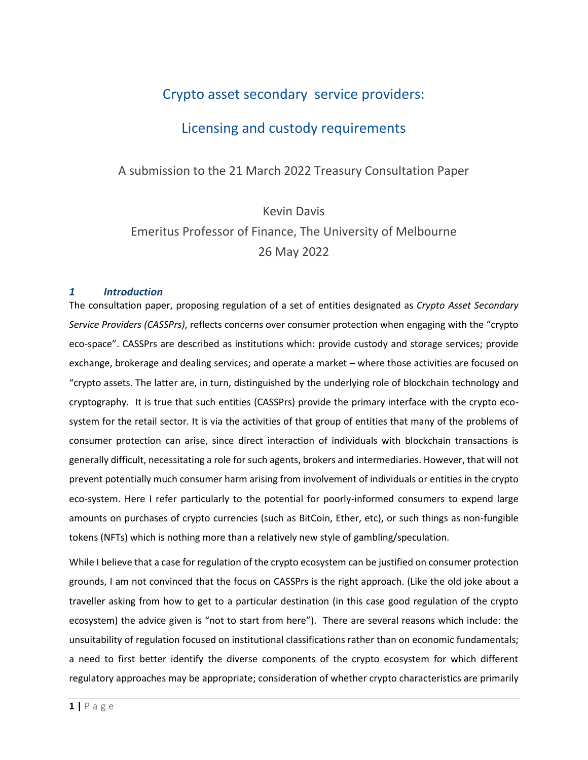## Crypto asset secondary service providers:

## Licensing and custody requirements

### A submission to the 21 March 2022 Treasury Consultation Paper

# Kevin Davis Emeritus Professor of Finance, The University of Melbourne 26 May 2022

### *1 Introduction*

The consultation paper, proposing regulation of a set of entities designated as *Crypto Asset Secondary Service Providers (CASSPrs)*, reflects concerns over consumer protection when engaging with the "crypto eco-space". CASSPrs are described as institutions which: provide custody and storage services; provide exchange, brokerage and dealing services; and operate a market – where those activities are focused on "crypto assets. The latter are, in turn, distinguished by the underlying role of blockchain technology and cryptography. It is true that such entities (CASSPrs) provide the primary interface with the crypto ecosystem for the retail sector. It is via the activities of that group of entities that many of the problems of consumer protection can arise, since direct interaction of individuals with blockchain transactions is generally difficult, necessitating a role for such agents, brokers and intermediaries. However, that will not prevent potentially much consumer harm arising from involvement of individuals or entities in the crypto eco-system. Here I refer particularly to the potential for poorly-informed consumers to expend large amounts on purchases of crypto currencies (such as BitCoin, Ether, etc), or such things as non-fungible tokens (NFTs) which is nothing more than a relatively new style of gambling/speculation.

While I believe that a case for regulation of the crypto ecosystem can be justified on consumer protection grounds, I am not convinced that the focus on CASSPrs is the right approach. (Like the old joke about a traveller asking from how to get to a particular destination (in this case good regulation of the crypto ecosystem) the advice given is "not to start from here"). There are several reasons which include: the unsuitability of regulation focused on institutional classifications rather than on economic fundamentals; a need to first better identify the diverse components of the crypto ecosystem for which different regulatory approaches may be appropriate; consideration of whether crypto characteristics are primarily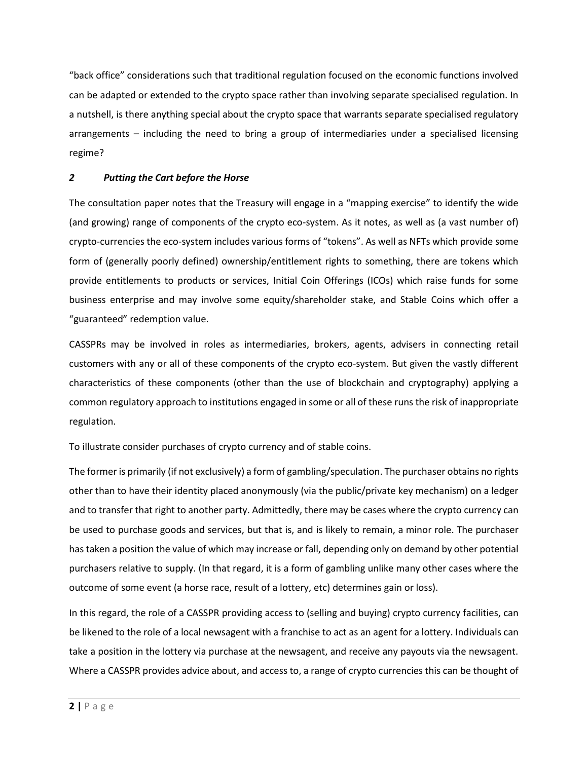"back office" considerations such that traditional regulation focused on the economic functions involved can be adapted or extended to the crypto space rather than involving separate specialised regulation. In a nutshell, is there anything special about the crypto space that warrants separate specialised regulatory arrangements – including the need to bring a group of intermediaries under a specialised licensing regime?

### *2 Putting the Cart before the Horse*

The consultation paper notes that the Treasury will engage in a "mapping exercise" to identify the wide (and growing) range of components of the crypto eco-system. As it notes, as well as (a vast number of) crypto-currencies the eco-system includes various forms of "tokens". As well as NFTs which provide some form of (generally poorly defined) ownership/entitlement rights to something, there are tokens which provide entitlements to products or services, Initial Coin Offerings (ICOs) which raise funds for some business enterprise and may involve some equity/shareholder stake, and Stable Coins which offer a "guaranteed" redemption value.

CASSPRs may be involved in roles as intermediaries, brokers, agents, advisers in connecting retail customers with any or all of these components of the crypto eco-system. But given the vastly different characteristics of these components (other than the use of blockchain and cryptography) applying a common regulatory approach to institutions engaged in some or all of these runs the risk of inappropriate regulation.

To illustrate consider purchases of crypto currency and of stable coins.

The former is primarily (if not exclusively) a form of gambling/speculation. The purchaser obtains no rights other than to have their identity placed anonymously (via the public/private key mechanism) on a ledger and to transfer that right to another party. Admittedly, there may be cases where the crypto currency can be used to purchase goods and services, but that is, and is likely to remain, a minor role. The purchaser has taken a position the value of which may increase or fall, depending only on demand by other potential purchasers relative to supply. (In that regard, it is a form of gambling unlike many other cases where the outcome of some event (a horse race, result of a lottery, etc) determines gain or loss).

In this regard, the role of a CASSPR providing access to (selling and buying) crypto currency facilities, can be likened to the role of a local newsagent with a franchise to act as an agent for a lottery. Individuals can take a position in the lottery via purchase at the newsagent, and receive any payouts via the newsagent. Where a CASSPR provides advice about, and access to, a range of crypto currencies this can be thought of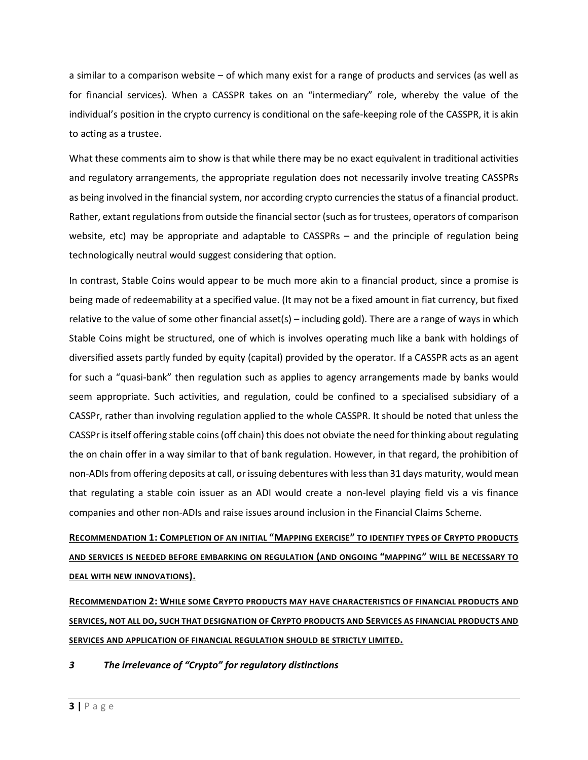a similar to a comparison website – of which many exist for a range of products and services (as well as for financial services). When a CASSPR takes on an "intermediary" role, whereby the value of the individual's position in the crypto currency is conditional on the safe-keeping role of the CASSPR, it is akin to acting as a trustee.

What these comments aim to show is that while there may be no exact equivalent in traditional activities and regulatory arrangements, the appropriate regulation does not necessarily involve treating CASSPRs as being involved in the financial system, nor according crypto currencies the status of a financial product. Rather, extant regulations from outside the financial sector (such as for trustees, operators of comparison website, etc) may be appropriate and adaptable to CASSPRs – and the principle of regulation being technologically neutral would suggest considering that option.

In contrast, Stable Coins would appear to be much more akin to a financial product, since a promise is being made of redeemability at a specified value. (It may not be a fixed amount in fiat currency, but fixed relative to the value of some other financial asset(s) – including gold). There are a range of ways in which Stable Coins might be structured, one of which is involves operating much like a bank with holdings of diversified assets partly funded by equity (capital) provided by the operator. If a CASSPR acts as an agent for such a "quasi-bank" then regulation such as applies to agency arrangements made by banks would seem appropriate. Such activities, and regulation, could be confined to a specialised subsidiary of a CASSPr, rather than involving regulation applied to the whole CASSPR. It should be noted that unless the CASSPr is itself offering stable coins (off chain) this does not obviate the need for thinking about regulating the on chain offer in a way similar to that of bank regulation. However, in that regard, the prohibition of non-ADIs from offering deposits at call, or issuing debentures with less than 31 days maturity, would mean that regulating a stable coin issuer as an ADI would create a non-level playing field vis a vis finance companies and other non-ADIs and raise issues around inclusion in the Financial Claims Scheme.

# **RECOMMENDATION 1: COMPLETION OF AN INITIAL "MAPPING EXERCISE" TO IDENTIFY TYPES OF CRYPTO PRODUCTS AND SERVICES IS NEEDED BEFORE EMBARKING ON REGULATION (AND ONGOING "MAPPING" WILL BE NECESSARY TO DEAL WITH NEW INNOVATIONS).**

**RECOMMENDATION 2: WHILE SOME CRYPTO PRODUCTS MAY HAVE CHARACTERISTICS OF FINANCIAL PRODUCTS AND SERVICES, NOT ALL DO, SUCH THAT DESIGNATION OF CRYPTO PRODUCTS AND SERVICES AS FINANCIAL PRODUCTS AND SERVICES AND APPLICATION OF FINANCIAL REGULATION SHOULD BE STRICTLY LIMITED.**

### *3 The irrelevance of "Crypto" for regulatory distinctions*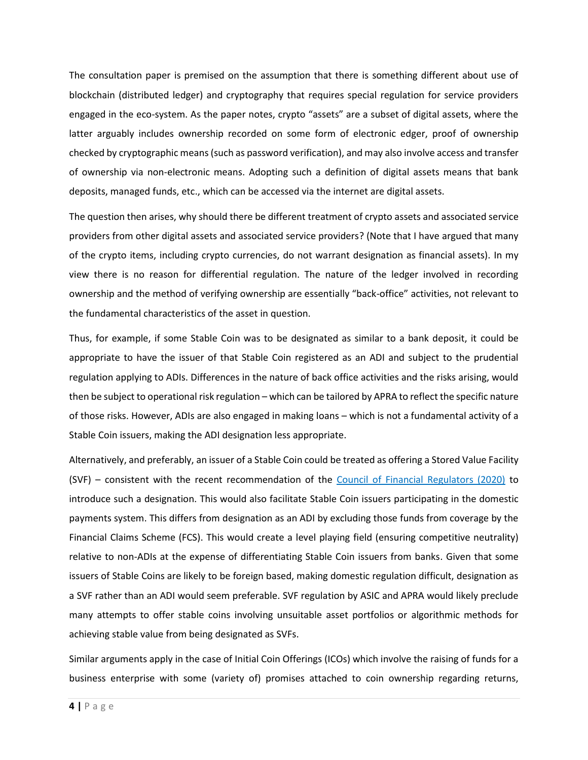The consultation paper is premised on the assumption that there is something different about use of blockchain (distributed ledger) and cryptography that requires special regulation for service providers engaged in the eco-system. As the paper notes, crypto "assets" are a subset of digital assets, where the latter arguably includes ownership recorded on some form of electronic edger, proof of ownership checked by cryptographic means (such as password verification), and may also involve access and transfer of ownership via non-electronic means. Adopting such a definition of digital assets means that bank deposits, managed funds, etc., which can be accessed via the internet are digital assets.

The question then arises, why should there be different treatment of crypto assets and associated service providers from other digital assets and associated service providers? (Note that I have argued that many of the crypto items, including crypto currencies, do not warrant designation as financial assets). In my view there is no reason for differential regulation. The nature of the ledger involved in recording ownership and the method of verifying ownership are essentially "back-office" activities, not relevant to the fundamental characteristics of the asset in question.

Thus, for example, if some Stable Coin was to be designated as similar to a bank deposit, it could be appropriate to have the issuer of that Stable Coin registered as an ADI and subject to the prudential regulation applying to ADIs. Differences in the nature of back office activities and the risks arising, would then be subject to operational risk regulation – which can be tailored by APRA to reflect the specific nature of those risks. However, ADIs are also engaged in making loans – which is not a fundamental activity of a Stable Coin issuers, making the ADI designation less appropriate.

Alternatively, and preferably, an issuer of a Stable Coin could be treated as offering a Stored Value Facility (SVF) – consistent with the recent recommendation of the [Council of Financial Regulators \(2020\)](https://www.cfr.gov.au/publications/policy-statements-and-other-reports/2020/regulation-of-stored-value-facilities-in-australia/pdf/report.pdf) to introduce such a designation. This would also facilitate Stable Coin issuers participating in the domestic payments system. This differs from designation as an ADI by excluding those funds from coverage by the Financial Claims Scheme (FCS). This would create a level playing field (ensuring competitive neutrality) relative to non-ADIs at the expense of differentiating Stable Coin issuers from banks. Given that some issuers of Stable Coins are likely to be foreign based, making domestic regulation difficult, designation as a SVF rather than an ADI would seem preferable. SVF regulation by ASIC and APRA would likely preclude many attempts to offer stable coins involving unsuitable asset portfolios or algorithmic methods for achieving stable value from being designated as SVFs.

Similar arguments apply in the case of Initial Coin Offerings (ICOs) which involve the raising of funds for a business enterprise with some (variety of) promises attached to coin ownership regarding returns,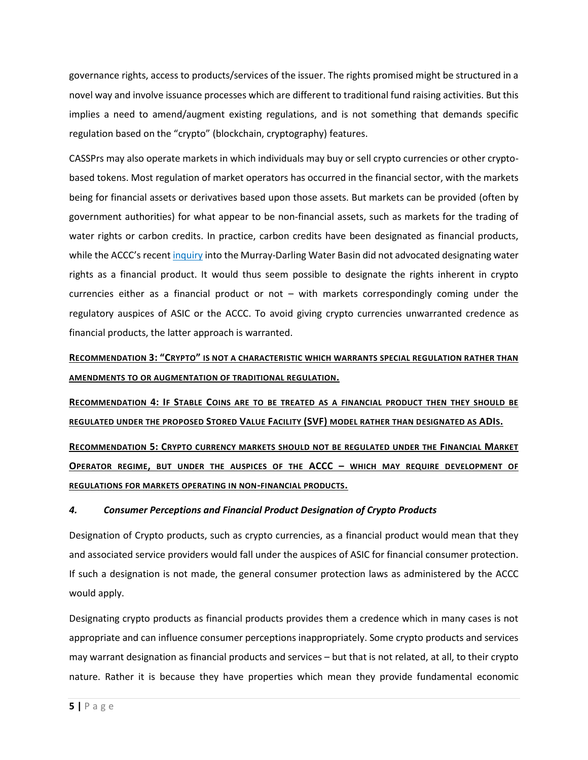governance rights, access to products/services of the issuer. The rights promised might be structured in a novel way and involve issuance processes which are different to traditional fund raising activities. But this implies a need to amend/augment existing regulations, and is not something that demands specific regulation based on the "crypto" (blockchain, cryptography) features.

CASSPrs may also operate markets in which individuals may buy or sell crypto currencies or other cryptobased tokens. Most regulation of market operators has occurred in the financial sector, with the markets being for financial assets or derivatives based upon those assets. But markets can be provided (often by government authorities) for what appear to be non-financial assets, such as markets for the trading of water rights or carbon credits. In practice, carbon credits have been designated as financial products, while the ACCC's recent [inquiry](https://www.accc.gov.au/system/files/Murray-Darling%20Basin%20water%20markets%20inquiry%20-%20final%20report%20-%20Overview.pdf) into the Murray-Darling Water Basin did not advocated designating water rights as a financial product. It would thus seem possible to designate the rights inherent in crypto currencies either as a financial product or not – with markets correspondingly coming under the regulatory auspices of ASIC or the ACCC. To avoid giving crypto currencies unwarranted credence as financial products, the latter approach is warranted.

**RECOMMENDATION 3: "CRYPTO" IS NOT A CHARACTERISTIC WHICH WARRANTS SPECIAL REGULATION RATHER THAN AMENDMENTS TO OR AUGMENTATION OF TRADITIONAL REGULATION.**

**RECOMMENDATION 4: IF STABLE COINS ARE TO BE TREATED AS A FINANCIAL PRODUCT THEN THEY SHOULD BE REGULATED UNDER THE PROPOSED STORED VALUE FACILITY (SVF) MODEL RATHER THAN DESIGNATED AS ADIS.**

**RECOMMENDATION 5: CRYPTO CURRENCY MARKETS SHOULD NOT BE REGULATED UNDER THE FINANCIAL MARKET OPERATOR REGIME, BUT UNDER THE AUSPICES OF THE ACCC – WHICH MAY REQUIRE DEVELOPMENT OF REGULATIONS FOR MARKETS OPERATING IN NON-FINANCIAL PRODUCTS.**

### *4. Consumer Perceptions and Financial Product Designation of Crypto Products*

Designation of Crypto products, such as crypto currencies, as a financial product would mean that they and associated service providers would fall under the auspices of ASIC for financial consumer protection. If such a designation is not made, the general consumer protection laws as administered by the ACCC would apply.

Designating crypto products as financial products provides them a credence which in many cases is not appropriate and can influence consumer perceptions inappropriately. Some crypto products and services may warrant designation as financial products and services – but that is not related, at all, to their crypto nature. Rather it is because they have properties which mean they provide fundamental economic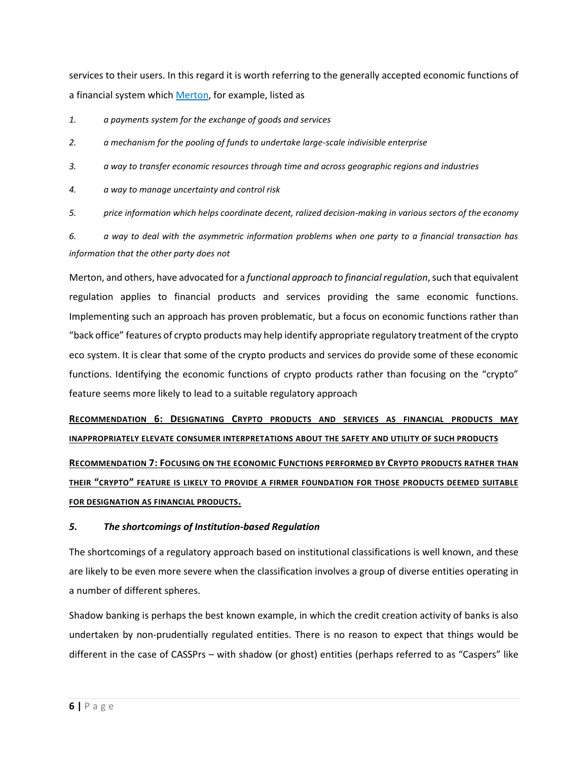services to their users. In this regard it is worth referring to the generally accepted economic functions of a financial system which [Merton,](https://www.jstor.org/stable/3665532) for example, listed as

*1. a payments system for the exchange of goods and services* 

*2. a mechanism for the pooling of funds to undertake large-scale indivisible enterprise* 

*3. a way to transfer economic resources through time and across geographic regions and industries* 

*4. a way to manage uncertainty and control risk* 

*5. price information which helps coordinate decent, ralized decision-making in various sectors of the economy* 

*6. a way to deal with the asymmetric information problems when one party to a financial transaction has information that the other party does not*

Merton, and others, have advocated for a *functional approach to financial regulation*, such that equivalent regulation applies to financial products and services providing the same economic functions. Implementing such an approach has proven problematic, but a focus on economic functions rather than "back office" features of crypto products may help identify appropriate regulatory treatment of the crypto eco system. It is clear that some of the crypto products and services do provide some of these economic functions. Identifying the economic functions of crypto products rather than focusing on the "crypto" feature seems more likely to lead to a suitable regulatory approach

**RECOMMENDATION 6: DESIGNATING CRYPTO PRODUCTS AND SERVICES AS FINANCIAL PRODUCTS MAY INAPPROPRIATELY ELEVATE CONSUMER INTERPRETATIONS ABOUT THE SAFETY AND UTILITY OF SUCH PRODUCTS**

**RECOMMENDATION 7: FOCUSING ON THE ECONOMIC FUNCTIONS PERFORMED BY CRYPTO PRODUCTS RATHER THAN THEIR "CRYPTO" FEATURE IS LIKELY TO PROVIDE A FIRMER FOUNDATION FOR THOSE PRODUCTS DEEMED SUITABLE FOR DESIGNATION AS FINANCIAL PRODUCTS.**

### *5. The shortcomings of Institution-based Regulation*

The shortcomings of a regulatory approach based on institutional classifications is well known, and these are likely to be even more severe when the classification involves a group of diverse entities operating in a number of different spheres.

Shadow banking is perhaps the best known example, in which the credit creation activity of banks is also undertaken by non-prudentially regulated entities. There is no reason to expect that things would be different in the case of CASSPrs – with shadow (or ghost) entities (perhaps referred to as "Caspers" like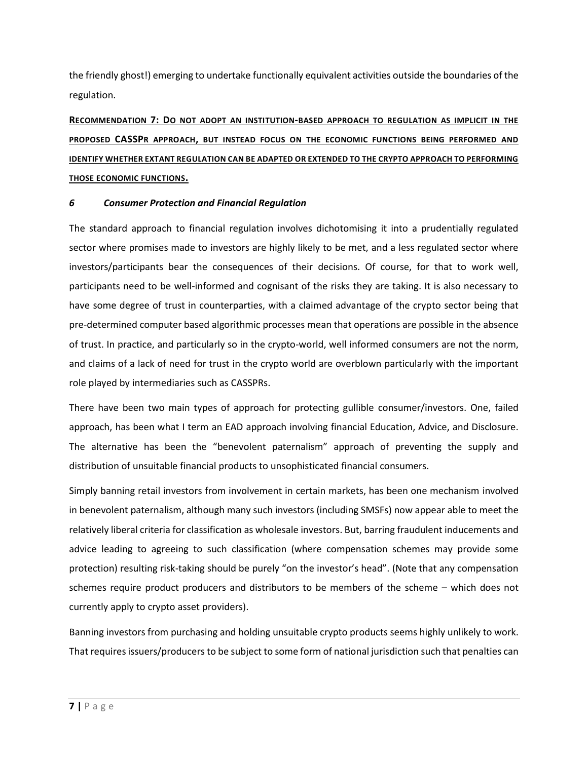the friendly ghost!) emerging to undertake functionally equivalent activities outside the boundaries of the regulation.

**RECOMMENDATION 7: DO NOT ADOPT AN INSTITUTION-BASED APPROACH TO REGULATION AS IMPLICIT IN THE PROPOSED CASSPR APPROACH, BUT INSTEAD FOCUS ON THE ECONOMIC FUNCTIONS BEING PERFORMED AND IDENTIFY WHETHER EXTANT REGULATION CAN BE ADAPTED OR EXTENDED TO THE CRYPTO APPROACH TO PERFORMING THOSE ECONOMIC FUNCTIONS.**

### *6 Consumer Protection and Financial Regulation*

The standard approach to financial regulation involves dichotomising it into a prudentially regulated sector where promises made to investors are highly likely to be met, and a less regulated sector where investors/participants bear the consequences of their decisions. Of course, for that to work well, participants need to be well-informed and cognisant of the risks they are taking. It is also necessary to have some degree of trust in counterparties, with a claimed advantage of the crypto sector being that pre-determined computer based algorithmic processes mean that operations are possible in the absence of trust. In practice, and particularly so in the crypto-world, well informed consumers are not the norm, and claims of a lack of need for trust in the crypto world are overblown particularly with the important role played by intermediaries such as CASSPRs.

There have been two main types of approach for protecting gullible consumer/investors. One, failed approach, has been what I term an EAD approach involving financial Education, Advice, and Disclosure. The alternative has been the "benevolent paternalism" approach of preventing the supply and distribution of unsuitable financial products to unsophisticated financial consumers.

Simply banning retail investors from involvement in certain markets, has been one mechanism involved in benevolent paternalism, although many such investors (including SMSFs) now appear able to meet the relatively liberal criteria for classification as wholesale investors. But, barring fraudulent inducements and advice leading to agreeing to such classification (where compensation schemes may provide some protection) resulting risk-taking should be purely "on the investor's head". (Note that any compensation schemes require product producers and distributors to be members of the scheme – which does not currently apply to crypto asset providers).

Banning investors from purchasing and holding unsuitable crypto products seems highly unlikely to work. That requires issuers/producers to be subject to some form of national jurisdiction such that penalties can